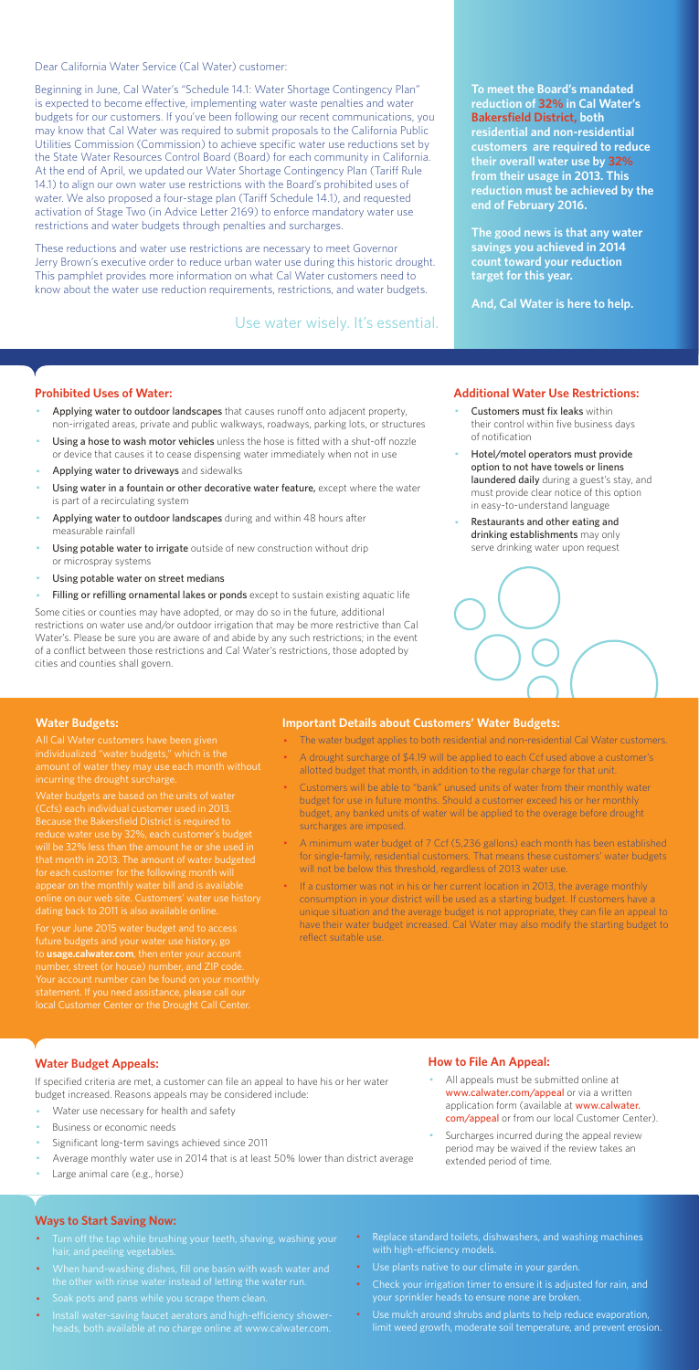Dear California Water Service (Cal Water) customer:

Beginning in June, Cal Water's "Schedule 14.1: Water Shortage Contingency Plan" is expected to become effective, implementing water waste penalties and water budgets for our customers. If you've been following our recent communications, you may know that Cal Water was required to submit proposals to the California Public Utilities Commission (Commission) to achieve specific water use reductions set by the State Water Resources Control Board (Board) for each community in California. At the end of April, we updated our Water Shortage Contingency Plan (Tariff Rule 14.1) to align our own water use restrictions with the Board's prohibited uses of water. We also proposed a four-stage plan (Tariff Schedule 14.1), and requested activation of Stage Two (in Advice Letter 2169) to enforce mandatory water use restrictions and water budgets through penalties and surcharges.

These reductions and water use restrictions are necessary to meet Governor Jerry Brown's executive order to reduce urban water use during this historic drought. This pamphlet provides more information on what Cal Water customers need to know about the water use reduction requirements, restrictions, and water budgets.

#### **Prohibited Uses of Water:**

- Applying water to outdoor landscapes that causes runoff onto adjacent property, non-irrigated areas, private and public walkways, roadways, parking lots, or structures
- Using a hose to wash motor vehicles unless the hose is fitted with a shut-off nozzle or device that causes it to cease dispensing water immediately when not in use
- Applying water to driveways and sidewalks
- Using water in a fountain or other decorative water feature, except where the water is part of a recirculating system
- Applying water to outdoor landscapes during and within 48 hours after measurable rainfall
- Using potable water to irrigate outside of new construction without drip or microspray systems
- Using potable water on street medians
- Filling or refilling ornamental lakes or ponds except to sustain existing aquatic life
- Customers must fix leaks within their control within five business days of notification
- Hotel/motel operators must provide option to not have towels or linens laundered daily during a guest's stay, and must provide clear notice of this option in easy-to-understand language
- Restaurants and other eating and drinking establishments may only serve drinking water upon request



- All appeals must be submitted online at www.calwater.com/appeal or via a written application form (available at www.calwater. com/appeal or from our local Customer Center).
- · Surcharges incurred during the appeal review period may be waived if the review takes an extended period of time.

Some cities or counties may have adopted, or may do so in the future, additional restrictions on water use and/or outdoor irrigation that may be more restrictive than Cal Water's. Please be sure you are aware of and abide by any such restrictions; in the event of a conflict between those restrictions and Cal Water's restrictions, those adopted by cities and counties shall govern.

- Turn off the tap while brushing your teeth, shaving, washing your hair, and peeling vegetables.
- · When hand-washing dishes, fill one basin with wash water and the other with rinse water instead of letting the water run.
- · Soak pots and pans while you scrape them clean.
- · Install water-saving faucet aerators and high-efficiency showerheads, both available at no charge online at www.calwater.com.
- Replace standard toilets, dishwashers, and washing machines with high-efficiency models.
- · Use plants native to our climate in your garden.
- Check your irrigation timer to ensure it is adjusted for rain, and your sprinkler heads to ensure none are broken.
- · Use mulch around shrubs and plants to help reduce evaporation, limit weed growth, moderate soil temperature, and prevent erosion.

**To meet the Board's mandated reduction of 32% in Cal Water's Bakersfield District, both residential and non-residential customers are required to reduce their overall water use by 32% from their usage in 2013. This reduction must be achieved by the end of February 2016.** 

**The good news is that any water savings you achieved in 2014 count toward your reduction target for this year.** 

**And, Cal Water is here to help.** 

#### **Additional Water Use Restrictions:**

### **Water Budget Appeals:**

If specified criteria are met, a customer can file an appeal to have his or her water budget increased. Reasons appeals may be considered include:

- Water use necessary for health and safety
- Business or economic needs
- Significant long-term savings achieved since 2011
- Average monthly water use in 2014 that is at least 50% lower than district average
- Large animal care (e.g., horse)

If a customer was not in his or her current location in 2013, the average monthly consumption in your district will be used as a starting budget. If customers have a unique situation and the average budget is not appropriate, they can file an appeal to have their water budget increased. Cal Water may also modify the starting budget to reflect suitable use.

## **How to File An Appeal:**

#### **Ways to Start Saving Now:**

Use water wisely. It's essential.

#### **Water Budgets:**

individualized "water budgets," which is the incurring the drought surcharge.

Water budgets are based on the units of water (Ccfs) each individual customer used in 2013. Because the Bakersfield District is required to reduce water use by 32%, each customer's budget that month in 2013. The amount of water budgeted for each customer for the following month will appear on the monthly water bill and is available dating back to 2011 is also available online.

For your June 2015 water budget and to access future budgets and your water use history, go to **usage.calwater.com**, then enter your account number, street (or house) number, and ZIP code. local Customer Center or the Drought Call Center.

#### **Important Details about Customers' Water Budgets:**

- · The water budget applies to both residential and non-residential Cal Water customers.
- A drought surcharge of \$4.19 will be applied to each Ccf used above a customer's allotted budget that month, in addition to the regular charge for that unit.
- · Customers will be able to "bank" unused units of water from their monthly water budget for use in future months. Should a customer exceed his or her monthly budget, any banked units of water will be applied to the overage before drought surcharges are imposed.
- · A minimum water budget of 7 Ccf (5,236 gallons) each month has been established for single-family, residential customers. That means these customers' water budgets will not be below this threshold, regardless of 2013 water use.